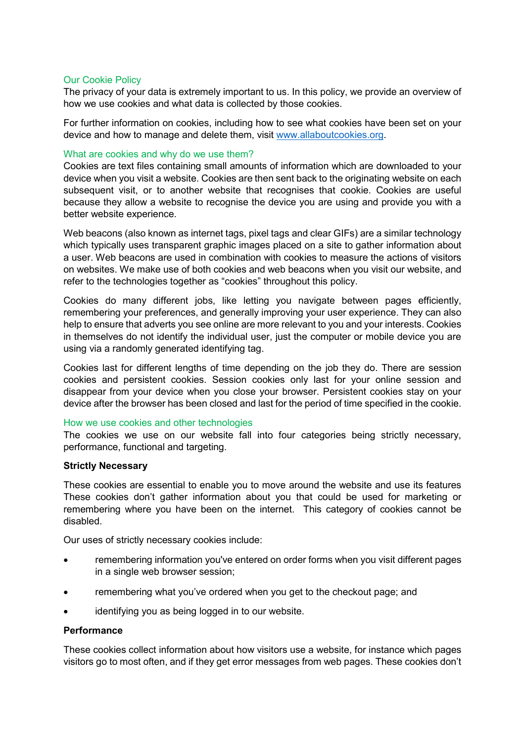# Our Cookie Policy

The privacy of your data is extremely important to us. In this policy, we provide an overview of how we use cookies and what data is collected by those cookies.

For further information on cookies, including how to see what cookies have been set on your device and how to manage and delete them, visit [www.allaboutcookies.org.](http://www.allaboutcookies.org/)

### What are cookies and why do we use them?

Cookies are text files containing small amounts of information which are downloaded to your device when you visit a website. Cookies are then sent back to the originating website on each subsequent visit, or to another website that recognises that cookie. Cookies are useful because they allow a website to recognise the device you are using and provide you with a better website experience.

Web beacons (also known as internet tags, pixel tags and clear GIFs) are a similar technology which typically uses transparent graphic images placed on a site to gather information about a user. Web beacons are used in combination with cookies to measure the actions of visitors on websites. We make use of both cookies and web beacons when you visit our website, and refer to the technologies together as "cookies" throughout this policy.

Cookies do many different jobs, like letting you navigate between pages efficiently, remembering your preferences, and generally improving your user experience. They can also help to ensure that adverts you see online are more relevant to you and your interests. Cookies in themselves do not identify the individual user, just the computer or mobile device you are using via a randomly generated identifying tag.

Cookies last for different lengths of time depending on the job they do. There are session cookies and persistent cookies. Session cookies only last for your online session and disappear from your device when you close your browser. Persistent cookies stay on your device after the browser has been closed and last for the period of time specified in the cookie.

#### How we use cookies and other technologies

The cookies we use on our website fall into four categories being strictly necessary, performance, functional and targeting.

### **Strictly Necessary**

These cookies are essential to enable you to move around the website and use its features These cookies don't gather information about you that could be used for marketing or remembering where you have been on the internet. This category of cookies cannot be disabled.

Our uses of strictly necessary cookies include:

- remembering information you've entered on order forms when you visit different pages in a single web browser session;
- remembering what you've ordered when you get to the checkout page; and
- identifying you as being logged in to our website.

#### **Performance**

These cookies collect information about how visitors use a website, for instance which pages visitors go to most often, and if they get error messages from web pages. These cookies don't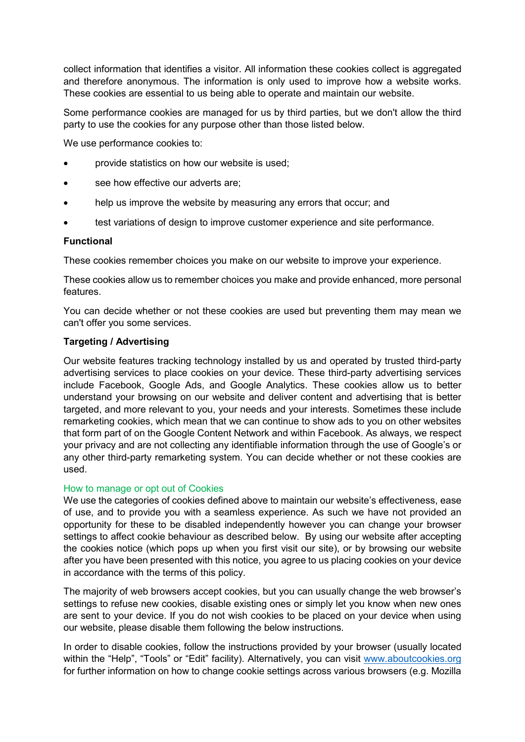collect information that identifies a visitor. All information these cookies collect is aggregated and therefore anonymous. The information is only used to improve how a website works. These cookies are essential to us being able to operate and maintain our website.

Some performance cookies are managed for us by third parties, but we don't allow the third party to use the cookies for any purpose other than those listed below.

We use performance cookies to:

- provide statistics on how our website is used;
- see how effective our adverts are:
- help us improve the website by measuring any errors that occur; and
- test variations of design to improve customer experience and site performance.

### **Functional**

These cookies remember choices you make on our website to improve your experience.

These cookies allow us to remember choices you make and provide enhanced, more personal features.

You can decide whether or not these cookies are used but preventing them may mean we can't offer you some services.

### **Targeting / Advertising**

Our website features tracking technology installed by us and operated by trusted third-party advertising services to place cookies on your device. These third-party advertising services include Facebook, Google Ads, and Google Analytics. These cookies allow us to better understand your browsing on our website and deliver content and advertising that is better targeted, and more relevant to you, your needs and your interests. Sometimes these include remarketing cookies, which mean that we can continue to show ads to you on other websites that form part of on the Google Content Network and within Facebook. As always, we respect your privacy and are not collecting any identifiable information through the use of Google's or any other third-party remarketing system. You can decide whether or not these cookies are used.

#### How to manage or opt out of Cookies

We use the categories of cookies defined above to maintain our website's effectiveness, ease of use, and to provide you with a seamless experience. As such we have not provided an opportunity for these to be disabled independently however you can change your browser settings to affect cookie behaviour as described below. By using our website after accepting the cookies notice (which pops up when you first visit our site), or by browsing our website after you have been presented with this notice, you agree to us placing cookies on your device in accordance with the terms of this policy.

The majority of web browsers accept cookies, but you can usually change the web browser's settings to refuse new cookies, disable existing ones or simply let you know when new ones are sent to your device. If you do not wish cookies to be placed on your device when using our website, please disable them following the below instructions.

In order to disable cookies, follow the instructions provided by your browser (usually located within the "Help", "Tools" or "Edit" facility). Alternatively, you can visit [www.aboutcookies.org](http://www.aboutcookies.org/) for further information on how to change cookie settings across various browsers (e.g. Mozilla